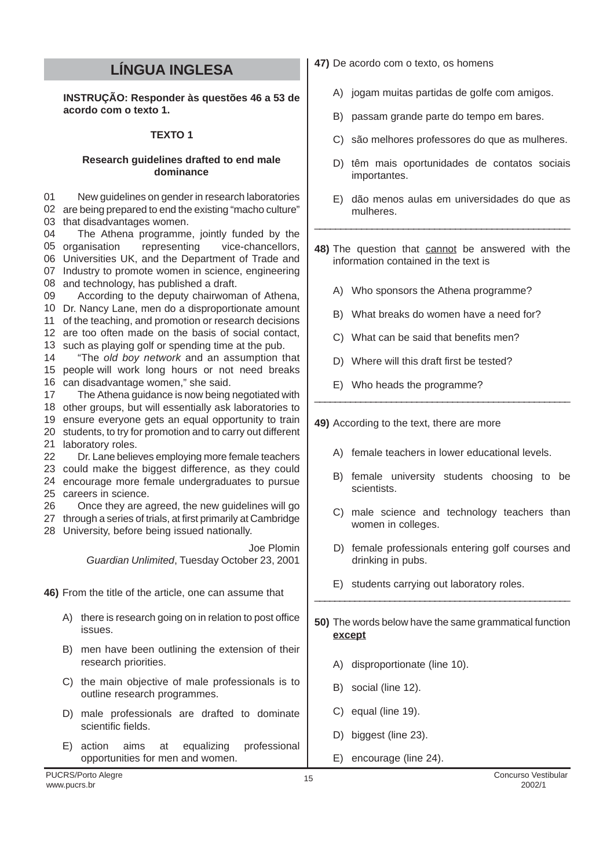# **LÍNGUA INGLESA**

**INSTRUÇÃO: Responder às questões 46 a 53 de acordo com o texto 1.**

# **TEXTO 1**

#### **Research guidelines drafted to end male dominance**

01 02 are being prepared to end the existing "macho culture" 03 that disadvantages women. New guidelines on gender in research laboratories

04 05 organisation 06 Universities UK, and the Department of Trade and 07 Industry to promote women in science, engineering 08 and technology, has published a draft. The Athena programme, jointly funded by the representing vice-chancellors,

09 10 Dr. Nancy Lane, men do a disproportionate amount 11 of the teaching, and promotion or research decisions According to the deputy chairwoman of Athena,

- 12 are too often made on the basis of social contact, 13 such as playing golf or spending time at the pub.
- 14 15 people will work long hours or not need breaks 16 can disadvantage women," she said. "The old boy network and an assumption that

17 The Athena guidance is now being negotiated with

18 other groups, but will essentially ask laboratories to

19 ensure everyone gets an equal opportunity to train 20 students, to try for promotion and to carry out different 21 laboratory roles.

22 Dr. Lane believes employing more female teachers

23 could make the biggest difference, as they could

24 encourage more female undergraduates to pursue 25 careers in science.

26 Once they are agreed, the new guidelines will go

27 through a series of trials, at first primarily at Cambridge 28 University, before being issued nationally.

> Joe Plomin Guardian Unlimited, Tuesday October 23, 2001

**46)** From the title of the article, one can assume that

- A) there is research going on in relation to post office issues.
- B) men have been outlining the extension of their research priorities.
- C) the main objective of male professionals is to outline research programmes.
- D) male professionals are drafted to dominate scientific fields.
- E) action aims at equalizing professional opportunities for men and women.
- **47)** De acordo com o texto, os homens
	- A) jogam muitas partidas de golfe com amigos.
	- B) passam grande parte do tempo em bares.
	- C) são melhores professores do que as mulheres.
	- D) têm mais oportunidades de contatos sociais importantes.
	- E) dão menos aulas em universidades do que as mulheres.
- **48)** The question that cannot be answered with the information contained in the text is

\_\_\_\_\_\_\_\_\_\_\_\_\_\_\_\_\_\_\_\_\_\_\_\_\_\_\_\_\_\_\_\_\_\_\_\_\_\_\_\_\_\_\_\_\_\_\_\_\_

- A) Who sponsors the Athena programme?
- B) What breaks do women have a need for?
- C) What can be said that benefits men?
- D) Where will this draft first be tested?
- E) Who heads the programme?

# **49)** According to the text, there are more

A) female teachers in lower educational levels.

\_\_\_\_\_\_\_\_\_\_\_\_\_\_\_\_\_\_\_\_\_\_\_\_\_\_\_\_\_\_\_\_\_\_\_\_\_\_\_\_\_\_\_\_\_\_\_\_\_\_

- B) female university students choosing to be scientists.
- C) male science and technology teachers than women in colleges.
- D) female professionals entering golf courses and drinking in pubs.
- E) students carrying out laboratory roles.

**50)** The words below have the same grammatical function **except**

\_\_\_\_\_\_\_\_\_\_\_\_\_\_\_\_\_\_\_\_\_\_\_\_\_\_\_\_\_\_\_\_\_\_\_\_\_\_\_\_\_\_\_\_\_\_\_\_\_\_\_

- A) disproportionate (line 10).
- B) social (line 12).
- C) equal (line 19).
- D) biggest (line 23).
- E) encourage (line 24).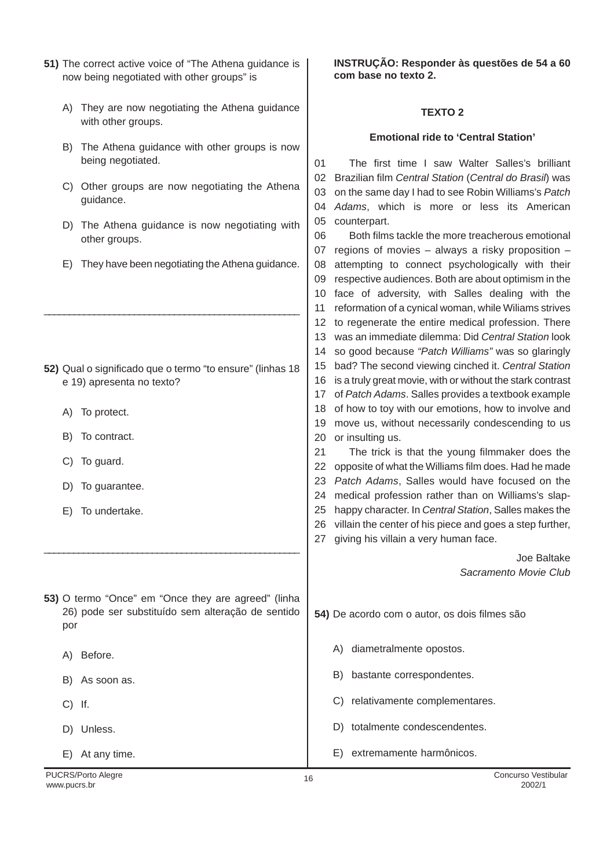|                                            | 51) The correct active voice of "The Athena guidance is |  |
|--------------------------------------------|---------------------------------------------------------|--|
| now being negotiated with other groups" is |                                                         |  |

- A) They are now negotiating the Athena guidance with other groups.
- B) The Athena guidance with other groups is now being negotiated.
- C) Other groups are now negotiating the guidance.
- D) The Athena guidance is now negot other groups.
- E) They have been negotiating the Athena

- **52)** Qual o significado que o termo "to ensure" e 19) apresenta no texto?
	- A) To protect.
	- B) To contract.
	- C) To guard.
	- D) To guarantee.
	- E) To undertake.
- **53)** O termo "Once" em "Once they are agreed 26) pode ser substituído sem alteração por
	- A) Before.
	- B) As soon as.
	- C) If.
	- D) Unless.

E) At any time.

**INSTRUÇÃO: Responder às questões de 54 a 60 com base no texto 2.**

### **TEXTO 2**

#### **Emotional ride to 'Central Station'**

| being negotiated.                                         | The first time I saw Walter Salles's brilliant<br>01             |
|-----------------------------------------------------------|------------------------------------------------------------------|
|                                                           | Brazilian film Central Station (Central do Brasil) was<br>02     |
| C) Other groups are now negotiating the Athena            | on the same day I had to see Robin Williams's Patch<br>03        |
| guidance.                                                 | Adams, which is more or less its American<br>04                  |
| The Athena guidance is now negotiating with<br>D)         | 05<br>counterpart.                                               |
| other groups.                                             | 06<br>Both films tackle the more treacherous emotional           |
|                                                           | regions of movies - always a risky proposition -<br>07           |
| They have been negotiating the Athena guidance.<br>E)     | attempting to connect psychologically with their<br>08           |
|                                                           | respective audiences. Both are about optimism in the<br>09       |
|                                                           | face of adversity, with Salles dealing with the<br>10            |
|                                                           | reformation of a cynical woman, while Wiliams strives<br>11      |
|                                                           | to regenerate the entire medical profession. There<br>12         |
|                                                           | was an immediate dilemma: Did Central Station look<br>13         |
|                                                           | so good because "Patch Williams" was so glaringly<br>14          |
| 52) Qual o significado que o termo "to ensure" (linhas 18 | bad? The second viewing cinched it. Central Station<br>15        |
| e 19) apresenta no texto?                                 | is a truly great movie, with or without the stark contrast<br>16 |
|                                                           | of Patch Adams. Salles provides a textbook example<br>17         |
| To protect.<br>A)                                         | of how to toy with our emotions, how to involve and<br>18        |
|                                                           | move us, without necessarily condescending to us<br>19           |
| To contract.<br>B)                                        | 20<br>or insulting us.                                           |
|                                                           | 21<br>The trick is that the young filmmaker does the             |
| To guard.<br>C)                                           | 22<br>opposite of what the Williams film does. Had he made       |
|                                                           | Patch Adams, Salles would have focused on the<br>23              |
| To guarantee.<br>D)                                       | medical profession rather than on Williams's slap-<br>24         |
| To undertake.<br>E)                                       | happy character. In Central Station, Salles makes the<br>25      |
|                                                           | villain the center of his piece and goes a step further,<br>26   |
|                                                           | giving his villain a very human face.<br>27                      |
|                                                           | Joe Baltake                                                      |
|                                                           | Sacramento Movie Club                                            |
|                                                           |                                                                  |
| 53) O termo "Once" em "Once they are agreed" (linha       |                                                                  |
| 26) pode ser substituído sem alteração de sentido         | 54) De acordo com o autor, os dois filmes são                    |
| por                                                       |                                                                  |
|                                                           |                                                                  |
| Before.<br>A)                                             | diametralmente opostos.<br>A)                                    |
|                                                           | B) bastante correspondentes.                                     |
| B) As soon as.                                            |                                                                  |

- C) relativamente complementares.
- D) totalmente condescendentes.
- E) extremamente harmônicos.